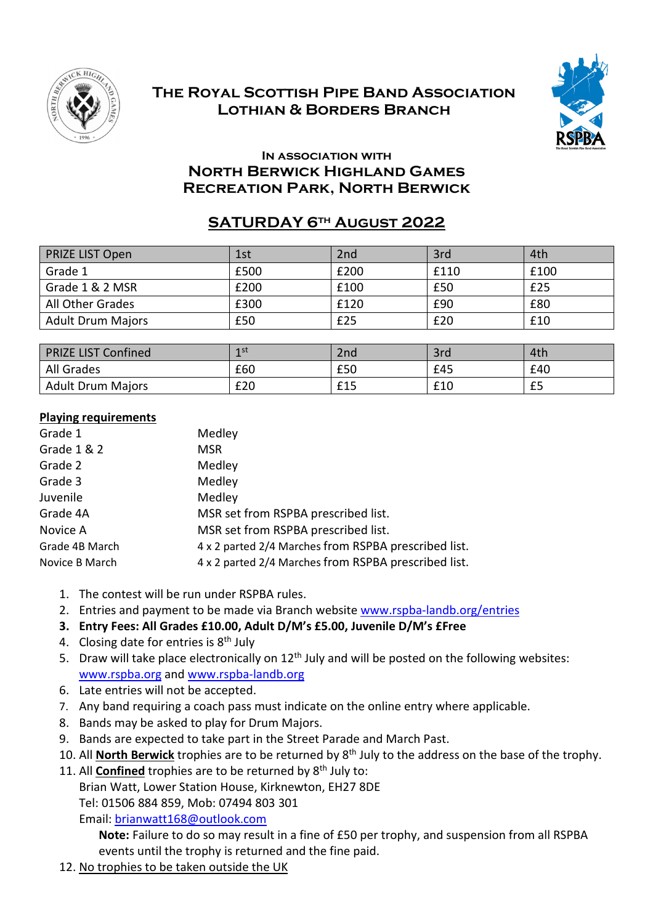

## **The Royal Scottish Pipe Band Association Lothian & Borders Branch**



## **In association with North Berwick Highland Games Recreation Park, North Berwick**

## **SATURDAY 6th August 2022**

| <b>PRIZE LIST Open</b>   | 1st  | 2nd  | 3rd  | 4th  |
|--------------------------|------|------|------|------|
| Grade 1                  | £500 | £200 | £110 | £100 |
| Grade 1 & 2 MSR          | £200 | £100 | £50  | £25  |
| All Other Grades         | £300 | £120 | £90  | £80  |
| <b>Adult Drum Majors</b> | £50  | £25  | £20  | £10  |

| <b>PRIZE LIST Confined</b> | 1 st | 2nd | 3rd | 4th |
|----------------------------|------|-----|-----|-----|
| All Grades                 | £60  | £50 | £45 | £40 |
| <b>Adult Drum Majors</b>   | £20  | £15 | £10 | £5  |

## **Playing requirements**

| Grade 1        | Medley                                               |
|----------------|------------------------------------------------------|
| Grade 1 & 2    | <b>MSR</b>                                           |
| Grade 2        | Medley                                               |
| Grade 3        | Medley                                               |
| Juvenile       | Medley                                               |
| Grade 4A       | MSR set from RSPBA prescribed list.                  |
| Novice A       | MSR set from RSPBA prescribed list.                  |
| Grade 4B March | 4 x 2 parted 2/4 Marches from RSPBA prescribed list. |
| Novice B March | 4 x 2 parted 2/4 Marches from RSPBA prescribed list. |

- 1. The contest will be run under RSPBA rules.
- 2. Entries and payment to be made via Branch website www.rspba-landb.org/entries
- **3. Entry Fees: All Grades £10.00, Adult D/M's £5.00, Juvenile D/M's £Free**
- 4. Closing date for entries is 8<sup>th</sup> July
- 5. Draw will take place electronically on  $12<sup>th</sup>$  July and will be posted on the following websites: www.rspba.org and www.rspba-landb.org
- 6. Late entries will not be accepted.
- 7. Any band requiring a coach pass must indicate on the online entry where applicable.
- 8. Bands may be asked to play for Drum Majors.
- 9. Bands are expected to take part in the Street Parade and March Past.
- 10. All **North Berwick** trophies are to be returned by 8th July to the address on the base of the trophy.
- 11. All **Confined** trophies are to be returned by 8<sup>th</sup> July to:

Brian Watt, Lower Station House, Kirknewton, EH27 8DE

Tel: 01506 884 859, Mob: 07494 803 301

Email: brianwatt168@outlook.com

**Note:** Failure to do so may result in a fine of £50 per trophy, and suspension from all RSPBA events until the trophy is returned and the fine paid.

12. No trophies to be taken outside the UK